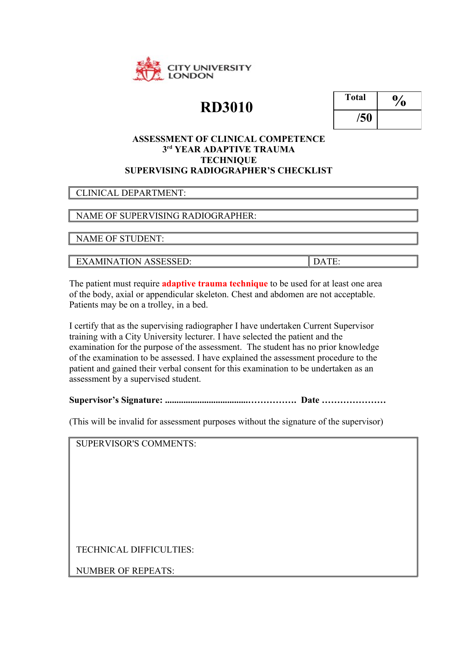

# **RD3010**

| <b>Total</b> | $\mathbf{0}_{q}$ |
|--------------|------------------|
| /50          |                  |

#### **ASSESSMENT OF CLINICAL COMPETENCE 3 rd YEAR ADAPTIVE TRAUMA TECHNIQUE SUPERVISING RADIOGRAPHER'S CHECKLIST**

#### CLINICAL DEPARTMENT:

### NAME OF SUPERVISING RADIOGRAPHER:

NAME OF STUDENT:

EXAMINATION ASSESSED: DATE:

The patient must require **adaptive trauma technique** to be used for at least one area of the body, axial or appendicular skeleton. Chest and abdomen are not acceptable. Patients may be on a trolley, in a bed.

I certify that as the supervising radiographer I have undertaken Current Supervisor training with a City University lecturer. I have selected the patient and the examination for the purpose of the assessment. The student has no prior knowledge of the examination to be assessed. I have explained the assessment procedure to the patient and gained their verbal consent for this examination to be undertaken as an assessment by a supervised student.

**Supervisor's Signature: ....................................……………. Date …………………**

(This will be invalid for assessment purposes without the signature of the supervisor)

SUPERVISOR'S COMMENTS:

TECHNICAL DIFFICULTIES:

NUMBER OF REPEATS: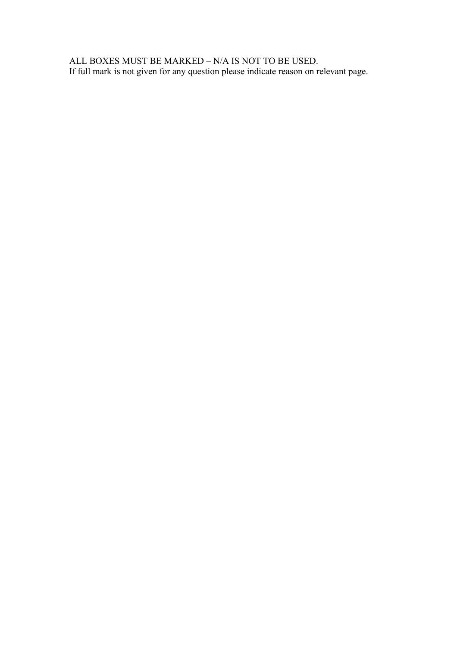ALL BOXES MUST BE MARKED – N/A IS NOT TO BE USED. If full mark is not given for any question please indicate reason on relevant page.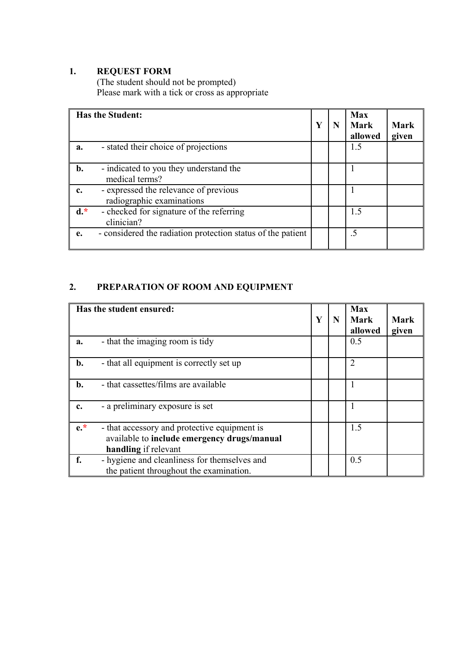#### **1. REQUEST FORM**

(The student should not be prompted) Please mark with a tick or cross as appropriate

|       | <b>Has the Student:</b>                                            | Y | N | <b>Max</b><br>Mark<br>allowed | Mark<br>given |
|-------|--------------------------------------------------------------------|---|---|-------------------------------|---------------|
| a.    | - stated their choice of projections                               |   |   | 1.5                           |               |
| b.    | - indicated to you they understand the<br>medical terms?           |   |   |                               |               |
| c.    | - expressed the relevance of previous<br>radiographic examinations |   |   |                               |               |
| $d.*$ | - checked for signature of the referring<br>clinician?             |   |   | 1.5                           |               |
| e.    | - considered the radiation protection status of the patient        |   |   | $.5\,$                        |               |

# **2. PREPARATION OF ROOM AND EQUIPMENT**

|                | Has the student ensured:                                                                                            | Y | N | <b>Max</b><br>Mark<br>allowed | <b>Mark</b><br>given |
|----------------|---------------------------------------------------------------------------------------------------------------------|---|---|-------------------------------|----------------------|
| a.             | - that the imaging room is tidy                                                                                     |   |   | 0.5                           |                      |
| $b$ .          | - that all equipment is correctly set up                                                                            |   |   | 2                             |                      |
| $\mathbf{b}$ . | - that cassettes/films are available                                                                                |   |   |                               |                      |
| c.             | - a preliminary exposure is set                                                                                     |   |   |                               |                      |
| $e^*$          | - that accessory and protective equipment is<br>available to include emergency drugs/manual<br>handling if relevant |   |   | 1.5                           |                      |
| f.             | - hygiene and cleanliness for themselves and<br>the patient throughout the examination.                             |   |   | 0.5                           |                      |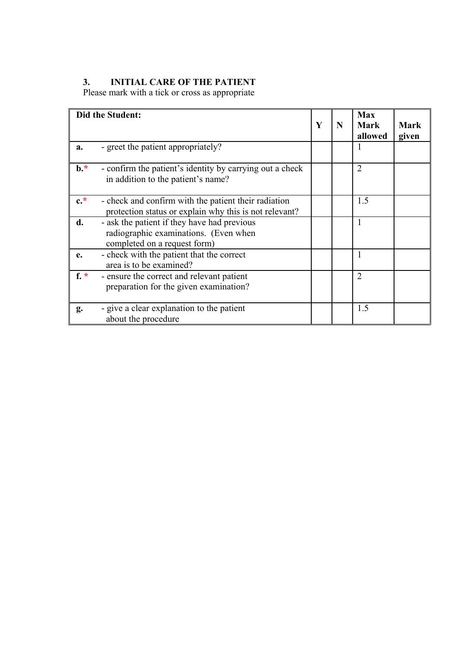#### **3. INITIAL CARE OF THE PATIENT**

Please mark with a tick or cross as appropriate

|                 | Did the Student:                                                                                                     |   |   | <b>Max</b>             |                      |
|-----------------|----------------------------------------------------------------------------------------------------------------------|---|---|------------------------|----------------------|
|                 |                                                                                                                      | Y | N | <b>Mark</b><br>allowed | <b>Mark</b><br>given |
| a.              | - greet the patient appropriately?                                                                                   |   |   | $\mathbf{I}$           |                      |
| $\mathbf{b}$ .* | - confirm the patient's identity by carrying out a check<br>in addition to the patient's name?                       |   |   | 2                      |                      |
| $c.*$           | - check and confirm with the patient their radiation<br>protection status or explain why this is not relevant?       |   |   | 1.5                    |                      |
| d.              | - ask the patient if they have had previous<br>radiographic examinations. (Even when<br>completed on a request form) |   |   |                        |                      |
| e.              | - check with the patient that the correct<br>area is to be examined?                                                 |   |   |                        |                      |
| $f^*$           | - ensure the correct and relevant patient<br>preparation for the given examination?                                  |   |   | $\overline{2}$         |                      |
| g.              | - give a clear explanation to the patient<br>about the procedure                                                     |   |   | 1.5                    |                      |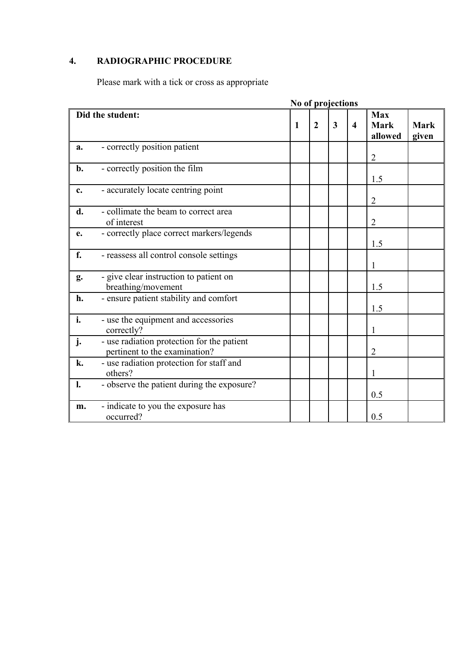# **4. RADIOGRAPHIC PROCEDURE**

Please mark with a tick or cross as appropriate

|                |                                                                             |   | No of projections |   |                         |                                      |                      |
|----------------|-----------------------------------------------------------------------------|---|-------------------|---|-------------------------|--------------------------------------|----------------------|
|                | Did the student:                                                            | 1 | $\overline{2}$    | 3 | $\overline{\mathbf{4}}$ | <b>Max</b><br><b>Mark</b><br>allowed | <b>Mark</b><br>given |
| a.             | - correctly position patient                                                |   |                   |   |                         | $\overline{2}$                       |                      |
| b.             | - correctly position the film                                               |   |                   |   |                         | 1.5                                  |                      |
| c.             | - accurately locate centring point                                          |   |                   |   |                         | $\overline{2}$                       |                      |
| d.             | - collimate the beam to correct area<br>of interest                         |   |                   |   |                         | $\overline{2}$                       |                      |
| e.             | - correctly place correct markers/legends                                   |   |                   |   |                         | 1.5                                  |                      |
| f.             | - reassess all control console settings                                     |   |                   |   |                         | 1                                    |                      |
| g.             | - give clear instruction to patient on<br>breathing/movement                |   |                   |   |                         | 1.5                                  |                      |
| h.             | - ensure patient stability and comfort                                      |   |                   |   |                         | 1.5                                  |                      |
| i.             | - use the equipment and accessories<br>correctly?                           |   |                   |   |                         | 1                                    |                      |
| j.             | - use radiation protection for the patient<br>pertinent to the examination? |   |                   |   |                         | $\overline{2}$                       |                      |
| k.             | - use radiation protection for staff and<br>others?                         |   |                   |   |                         | 1                                    |                      |
| $\mathbf{l}$ . | - observe the patient during the exposure?                                  |   |                   |   |                         | 0.5                                  |                      |
| m.             | - indicate to you the exposure has<br>occurred?                             |   |                   |   |                         | 0.5                                  |                      |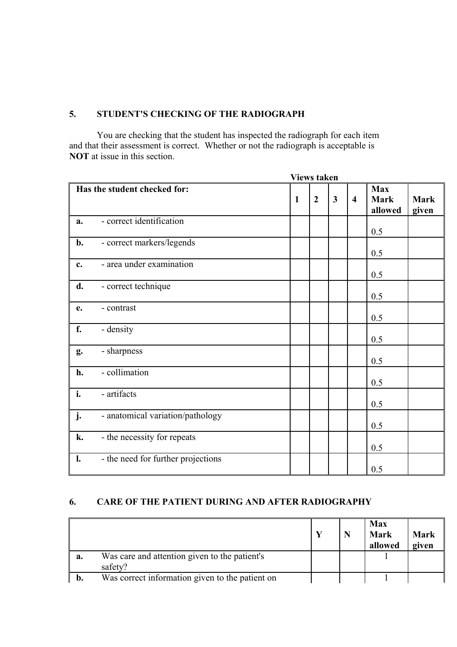#### **5. STUDENT'S CHECKING OF THE RADIOGRAPH**

You are checking that the student has inspected the radiograph for each item and that their assessment is correct. Whether or not the radiograph is acceptable is **NOT** at issue in this section.

|    |                                    |   | <b>Views taken</b> |                         |                         |                                      |                      |
|----|------------------------------------|---|--------------------|-------------------------|-------------------------|--------------------------------------|----------------------|
|    | Has the student checked for:       | 1 | $\overline{2}$     | $\overline{\mathbf{3}}$ | $\overline{\mathbf{4}}$ | <b>Max</b><br><b>Mark</b><br>allowed | <b>Mark</b><br>given |
| a. | - correct identification           |   |                    |                         |                         | 0.5                                  |                      |
| b. | - correct markers/legends          |   |                    |                         |                         | 0.5                                  |                      |
| c. | - area under examination           |   |                    |                         |                         | 0.5                                  |                      |
| d. | - correct technique                |   |                    |                         |                         | 0.5                                  |                      |
| e. | - contrast                         |   |                    |                         |                         | 0.5                                  |                      |
| f. | - density                          |   |                    |                         |                         | 0.5                                  |                      |
| g. | - sharpness                        |   |                    |                         |                         | 0.5                                  |                      |
| h. | - collimation                      |   |                    |                         |                         | 0.5                                  |                      |
| i. | - artifacts                        |   |                    |                         |                         | 0.5                                  |                      |
| j. | - anatomical variation/pathology   |   |                    |                         |                         | 0.5                                  |                      |
| k. | - the necessity for repeats        |   |                    |                         |                         | 0.5                                  |                      |
| l. | - the need for further projections |   |                    |                         |                         | 0.5                                  |                      |

## **6. CARE OF THE PATIENT DURING AND AFTER RADIOGRAPHY**

|    |                                                          |  | <b>Max</b><br><b>Mark</b><br>allowed | <b>Mark</b><br>given |
|----|----------------------------------------------------------|--|--------------------------------------|----------------------|
| a. | Was care and attention given to the patient's<br>safety? |  |                                      |                      |
| b. | Was correct information given to the patient on          |  |                                      |                      |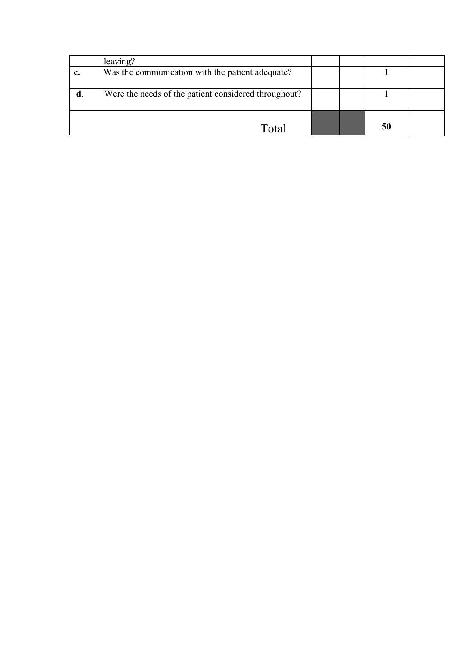| leaving?                                             |  |    |  |
|------------------------------------------------------|--|----|--|
| Was the communication with the patient adequate?     |  |    |  |
| Were the needs of the patient considered throughout? |  |    |  |
| Total                                                |  | 50 |  |